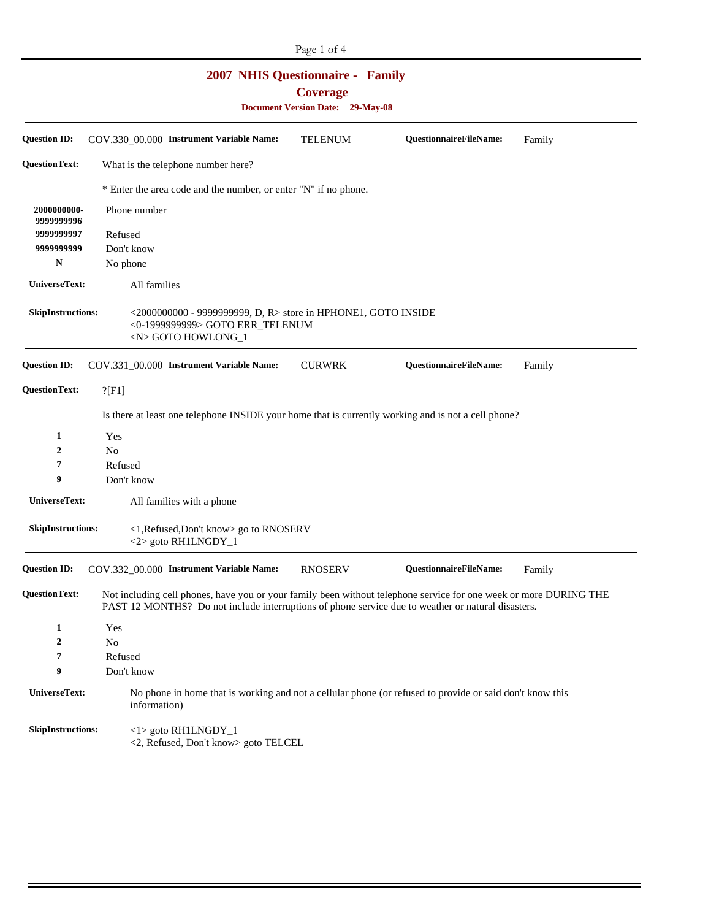|                                                                                                       |                                                                                                                                                                                                                         |              |                                                                                                                            |  | Page 1 of 4    |  |                                                                                                          |        |
|-------------------------------------------------------------------------------------------------------|-------------------------------------------------------------------------------------------------------------------------------------------------------------------------------------------------------------------------|--------------|----------------------------------------------------------------------------------------------------------------------------|--|----------------|--|----------------------------------------------------------------------------------------------------------|--------|
| <b>2007 NHIS Questionnaire - Family</b><br><b>Coverage</b><br><b>Document Version Date: 29-May-08</b> |                                                                                                                                                                                                                         |              |                                                                                                                            |  |                |  |                                                                                                          |        |
| <b>Question ID:</b>                                                                                   |                                                                                                                                                                                                                         |              | COV.330_00.000 Instrument Variable Name:                                                                                   |  | <b>TELENUM</b> |  | QuestionnaireFileName:                                                                                   | Family |
| <b>QuestionText:</b>                                                                                  |                                                                                                                                                                                                                         |              | What is the telephone number here?                                                                                         |  |                |  |                                                                                                          |        |
|                                                                                                       |                                                                                                                                                                                                                         |              | * Enter the area code and the number, or enter "N" if no phone.                                                            |  |                |  |                                                                                                          |        |
| 2000000000-<br>9999999996                                                                             | Phone number                                                                                                                                                                                                            |              |                                                                                                                            |  |                |  |                                                                                                          |        |
| 9999999997                                                                                            | Refused                                                                                                                                                                                                                 |              |                                                                                                                            |  |                |  |                                                                                                          |        |
| 9999999999                                                                                            |                                                                                                                                                                                                                         | Don't know   |                                                                                                                            |  |                |  |                                                                                                          |        |
| N                                                                                                     |                                                                                                                                                                                                                         | No phone     |                                                                                                                            |  |                |  |                                                                                                          |        |
|                                                                                                       | UniverseText:<br>All families                                                                                                                                                                                           |              |                                                                                                                            |  |                |  |                                                                                                          |        |
| <b>SkipInstructions:</b>                                                                              |                                                                                                                                                                                                                         |              | <2000000000 - 9999999999, D, R> store in HPHONE1, GOTO INSIDE<br><0-1999999999> GOTO ERR_TELENUM<br><n> GOTO HOWLONG_1</n> |  |                |  |                                                                                                          |        |
| <b>Question ID:</b>                                                                                   |                                                                                                                                                                                                                         |              | COV.331_00.000 Instrument Variable Name:                                                                                   |  | <b>CURWRK</b>  |  | QuestionnaireFileName:                                                                                   | Family |
| <b>QuestionText:</b>                                                                                  | ?[F1]                                                                                                                                                                                                                   |              |                                                                                                                            |  |                |  |                                                                                                          |        |
|                                                                                                       |                                                                                                                                                                                                                         |              |                                                                                                                            |  |                |  | Is there at least one telephone INSIDE your home that is currently working and is not a cell phone?      |        |
| 1                                                                                                     | Yes                                                                                                                                                                                                                     |              |                                                                                                                            |  |                |  |                                                                                                          |        |
| $\boldsymbol{2}$                                                                                      | N <sub>o</sub>                                                                                                                                                                                                          |              |                                                                                                                            |  |                |  |                                                                                                          |        |
| 7                                                                                                     | Refused                                                                                                                                                                                                                 |              |                                                                                                                            |  |                |  |                                                                                                          |        |
| 9                                                                                                     |                                                                                                                                                                                                                         | Don't know   |                                                                                                                            |  |                |  |                                                                                                          |        |
| UniverseText:                                                                                         |                                                                                                                                                                                                                         |              | All families with a phone                                                                                                  |  |                |  |                                                                                                          |        |
| <b>SkipInstructions:</b>                                                                              |                                                                                                                                                                                                                         |              | <1, Refused, Don't know> go to RNOSERV<br><2> goto RH1LNGDY_1                                                              |  |                |  |                                                                                                          |        |
| <b>Question ID:</b>                                                                                   |                                                                                                                                                                                                                         |              | COV.332_00.000 Instrument Variable Name:                                                                                   |  | <b>RNOSERV</b> |  | QuestionnaireFileName:                                                                                   | Family |
| <b>QuestionText:</b>                                                                                  | Not including cell phones, have you or your family been without telephone service for one week or more DURING THE<br>PAST 12 MONTHS? Do not include interruptions of phone service due to weather or natural disasters. |              |                                                                                                                            |  |                |  |                                                                                                          |        |
| $\mathbf{1}$                                                                                          | Yes                                                                                                                                                                                                                     |              |                                                                                                                            |  |                |  |                                                                                                          |        |
| $\boldsymbol{2}$                                                                                      | No                                                                                                                                                                                                                      |              |                                                                                                                            |  |                |  |                                                                                                          |        |
| 7                                                                                                     | Refused                                                                                                                                                                                                                 |              |                                                                                                                            |  |                |  |                                                                                                          |        |
| 9                                                                                                     |                                                                                                                                                                                                                         | Don't know   |                                                                                                                            |  |                |  |                                                                                                          |        |
| UniverseText:                                                                                         |                                                                                                                                                                                                                         | information) |                                                                                                                            |  |                |  | No phone in home that is working and not a cellular phone (or refused to provide or said don't know this |        |
| SkipInstructions:                                                                                     |                                                                                                                                                                                                                         |              | $<$ l > goto RH1LNGDY_1<br><2, Refused, Don't know> goto TELCEL                                                            |  |                |  |                                                                                                          |        |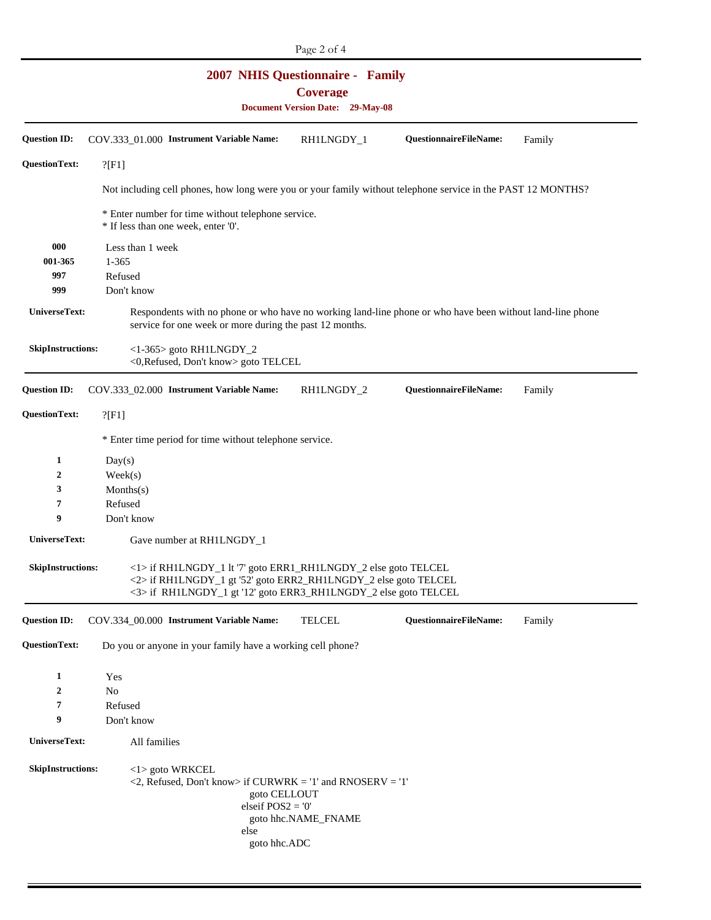| <b>2007 NHIS Questionnaire - Family</b><br><b>Coverage</b><br><b>Document Version Date: 29-May-08</b> |                                                                                                                                                                                                      |                     |                        |        |  |
|-------------------------------------------------------------------------------------------------------|------------------------------------------------------------------------------------------------------------------------------------------------------------------------------------------------------|---------------------|------------------------|--------|--|
| <b>Question ID:</b>                                                                                   | COV.333 01.000 Instrument Variable Name:                                                                                                                                                             | RH1LNGDY_1          | QuestionnaireFileName: | Family |  |
| <b>QuestionText:</b>                                                                                  | ?[F1]                                                                                                                                                                                                |                     |                        |        |  |
|                                                                                                       | Not including cell phones, how long were you or your family without telephone service in the PAST 12 MONTHS?                                                                                         |                     |                        |        |  |
|                                                                                                       | * Enter number for time without telephone service.<br>* If less than one week, enter '0'.                                                                                                            |                     |                        |        |  |
| 000<br>001-365<br>997<br>999                                                                          | Less than 1 week<br>$1 - 365$<br>Refused<br>Don't know                                                                                                                                               |                     |                        |        |  |
| UniverseText:                                                                                         | Respondents with no phone or who have no working land-line phone or who have been without land-line phone<br>service for one week or more during the past 12 months.                                 |                     |                        |        |  |
| <b>SkipInstructions:</b>                                                                              | <1-365> goto RH1LNGDY_2<br><0,Refused, Don't know> goto TELCEL                                                                                                                                       |                     |                        |        |  |
| <b>Question ID:</b>                                                                                   | COV.333_02.000 Instrument Variable Name:                                                                                                                                                             | RH1LNGDY_2          | QuestionnaireFileName: | Family |  |
| <b>QuestionText:</b>                                                                                  | $?$ [F1]                                                                                                                                                                                             |                     |                        |        |  |
|                                                                                                       | * Enter time period for time without telephone service.                                                                                                                                              |                     |                        |        |  |
| 1                                                                                                     | Day(s)                                                                                                                                                                                               |                     |                        |        |  |
| 2                                                                                                     | Week(s)                                                                                                                                                                                              |                     |                        |        |  |
| 3                                                                                                     | Monthly(s)                                                                                                                                                                                           |                     |                        |        |  |
| 7                                                                                                     | Refused                                                                                                                                                                                              |                     |                        |        |  |
| 9                                                                                                     | Don't know                                                                                                                                                                                           |                     |                        |        |  |
| UniverseText:                                                                                         | Gave number at RH1LNGDY_1                                                                                                                                                                            |                     |                        |        |  |
| <b>SkipInstructions:</b>                                                                              | <1> if RH1LNGDY_1 lt '7' goto ERR1_RH1LNGDY_2 else goto TELCEL<br><2> if RH1LNGDY_1 gt '52' goto ERR2_RH1LNGDY_2 else goto TELCEL<br><3> if RH1LNGDY_1 gt '12' goto ERR3_RH1LNGDY_2 else goto TELCEL |                     |                        |        |  |
| <b>Question ID:</b>                                                                                   | COV.334_00.000 Instrument Variable Name:                                                                                                                                                             | <b>TELCEL</b>       | QuestionnaireFileName: | Family |  |
| <b>QuestionText:</b>                                                                                  | Do you or anyone in your family have a working cell phone?                                                                                                                                           |                     |                        |        |  |
| $\mathbf{1}$                                                                                          | Yes                                                                                                                                                                                                  |                     |                        |        |  |
| $\boldsymbol{2}$                                                                                      | No                                                                                                                                                                                                   |                     |                        |        |  |
| 7                                                                                                     | Refused                                                                                                                                                                                              |                     |                        |        |  |
| 9                                                                                                     | Don't know                                                                                                                                                                                           |                     |                        |        |  |
| UniverseText:                                                                                         | All families                                                                                                                                                                                         |                     |                        |        |  |
| <b>SkipInstructions:</b>                                                                              | <1> goto WRKCEL<br>$\langle 2,$ Refused, Don't know> if CURWRK = '1' and RNOSERV = '1'<br>goto CELLOUT<br>elseif $POS2 = '0'$<br>else<br>goto hhc.ADC                                                | goto hhc.NAME_FNAME |                        |        |  |

Page 2 of 4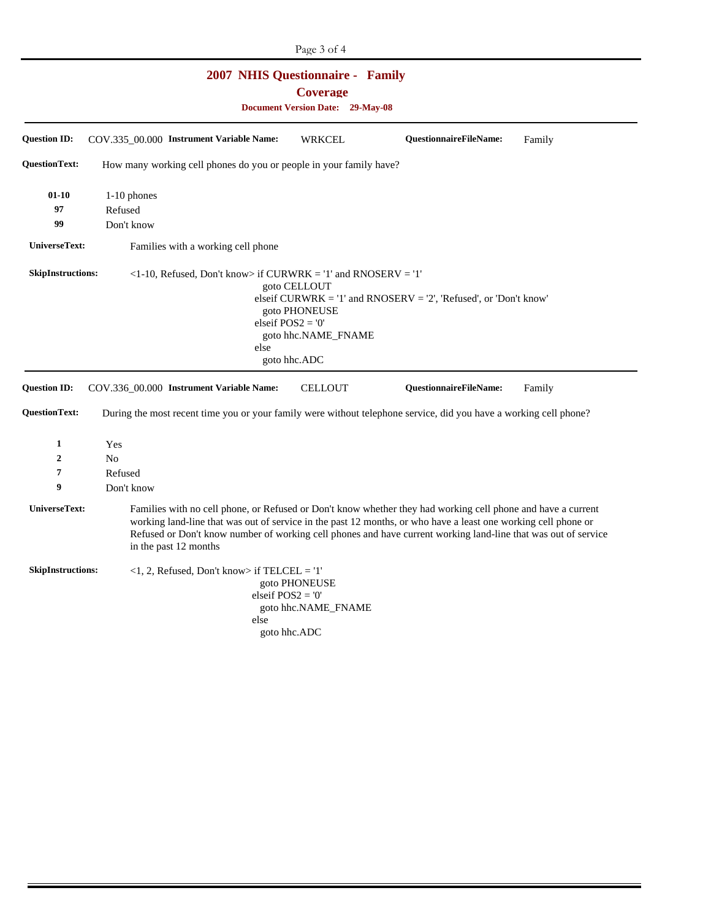| Page 3 of 4                                                                                           |                                                                                                                                                                                                                                                                                                                                                                           |  |  |  |  |  |
|-------------------------------------------------------------------------------------------------------|---------------------------------------------------------------------------------------------------------------------------------------------------------------------------------------------------------------------------------------------------------------------------------------------------------------------------------------------------------------------------|--|--|--|--|--|
| <b>2007 NHIS Questionnaire - Family</b><br><b>Coverage</b><br><b>Document Version Date: 29-May-08</b> |                                                                                                                                                                                                                                                                                                                                                                           |  |  |  |  |  |
| <b>Question ID:</b>                                                                                   | COV.335_00.000 Instrument Variable Name:<br>QuestionnaireFileName:<br><b>WRKCEL</b><br>Family                                                                                                                                                                                                                                                                             |  |  |  |  |  |
| <b>QuestionText:</b>                                                                                  | How many working cell phones do you or people in your family have?                                                                                                                                                                                                                                                                                                        |  |  |  |  |  |
| $01 - 10$<br>97<br>99<br>UniverseText:<br><b>SkipInstructions:</b>                                    | 1-10 phones<br>Refused<br>Don't know<br>Families with a working cell phone<br>$\langle -1-10,$ Refused, Don't know> if CURWRK = '1' and RNOSERV = '1'<br>goto CELLOUT                                                                                                                                                                                                     |  |  |  |  |  |
|                                                                                                       | elseif $CURWRK = '1'$ and $RNOSERV = '2'$ , 'Refused', or 'Don't know'<br>goto PHONEUSE<br>elseif $POS2 = '0'$<br>goto hhc.NAME_FNAME<br>else<br>goto hhc.ADC                                                                                                                                                                                                             |  |  |  |  |  |
| <b>Question ID:</b><br><b>QuestionText:</b>                                                           | <b>CELLOUT</b><br>QuestionnaireFileName:<br>COV.336_00.000 Instrument Variable Name:<br>Family<br>During the most recent time you or your family were without telephone service, did you have a working cell phone?                                                                                                                                                       |  |  |  |  |  |
| 1                                                                                                     | Yes                                                                                                                                                                                                                                                                                                                                                                       |  |  |  |  |  |
| 2                                                                                                     | N <sub>0</sub>                                                                                                                                                                                                                                                                                                                                                            |  |  |  |  |  |
| 7                                                                                                     | Refused                                                                                                                                                                                                                                                                                                                                                                   |  |  |  |  |  |
| 9                                                                                                     | Don't know                                                                                                                                                                                                                                                                                                                                                                |  |  |  |  |  |
| UniverseText:                                                                                         | Families with no cell phone, or Refused or Don't know whether they had working cell phone and have a current<br>working land-line that was out of service in the past 12 months, or who have a least one working cell phone or<br>Refused or Don't know number of working cell phones and have current working land-line that was out of service<br>in the past 12 months |  |  |  |  |  |
| <b>SkipInstructions:</b>                                                                              | $<$ 1, 2, Refused, Don't know> if TELCEL = '1'<br>goto PHONEUSE<br>elseif $POS2 = '0'$<br>goto hhc.NAME_FNAME<br>else<br>goto hhc.ADC                                                                                                                                                                                                                                     |  |  |  |  |  |